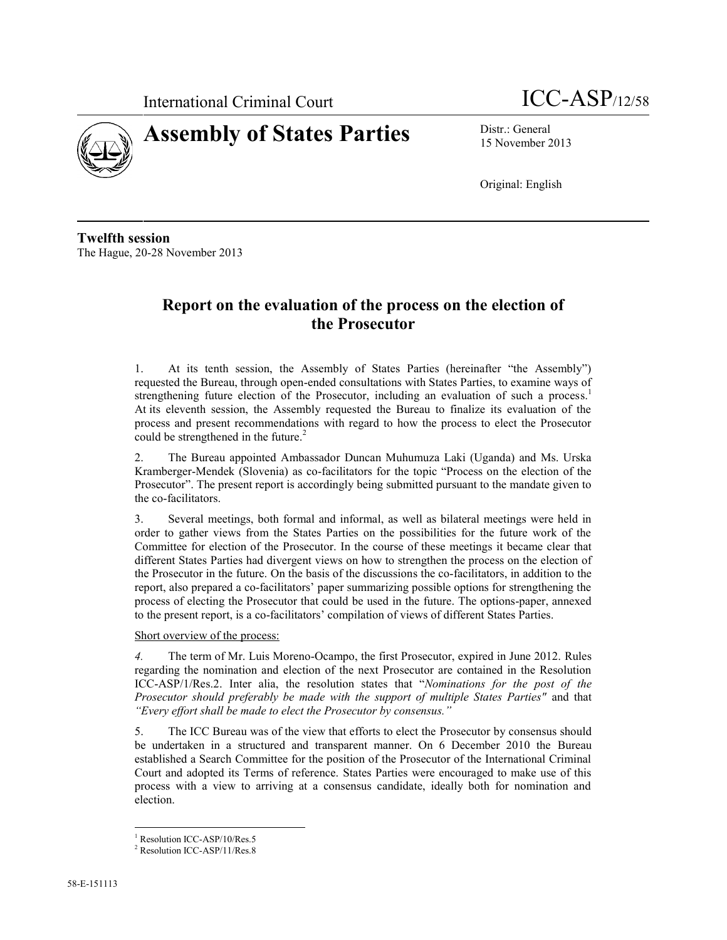



15 November 2013

Original: English

**Twelfth session** The Hague, 20-28 November 2013

# **Report on the evaluation of the process on the election of the Prosecutor**

1. At its tenth session, the Assembly of States Parties (hereinafter "the Assembly") requested the Bureau, through open-ended consultations with States Parties, to examine ways of strengthening future election of the Prosecutor, including an evaluation of such a process.<sup>1</sup> At its eleventh session, the Assembly requested the Bureau to finalize its evaluation of the process and present recommendations with regard to how the process to elect the Prosecutor could be strengthened in the future.<sup>2</sup>

2. The Bureau appointed Ambassador Duncan Muhumuza Laki (Uganda) and Ms. Urska Kramberger-Mendek (Slovenia) as co-facilitators for the topic "Process on the election of the Prosecutor". The present report is accordingly being submitted pursuant to the mandate given to the co-facilitators.

3. Several meetings, both formal and informal, as well as bilateral meetings were held in order to gather views from the States Parties on the possibilities for the future work of the Committee for election of the Prosecutor. In the course of these meetings it became clear that different States Parties had divergent views on how to strengthen the process on the election of the Prosecutor in the future. On the basis of the discussions the co-facilitators, in addition to the report, also prepared a co-facilitators' paper summarizing possible options for strengthening the process of electing the Prosecutor that could be used in the future. The options-paper, annexed to the present report, is a co-facilitators' compilation of views of different States Parties.

Short overview of the process:

*4.* The term of Mr. Luis Moreno-Ocampo, the first Prosecutor, expired in June 2012. Rules regarding the nomination and election of the next Prosecutor are contained in the Resolution ICC-ASP/1/Res.2. Inter alia, the resolution states that "*Nominations for the post of the Prosecutor should preferably be made with the support of multiple States Parties"* and that *"Every effort shall be made to elect the Prosecutor by consensus."*

5. The ICC Bureau was of the view that efforts to elect the Prosecutor by consensus should be undertaken in a structured and transparent manner. On 6 December 2010 the Bureau established a Search Committee for the position of the Prosecutor of the International Criminal Court and adopted its Terms of reference. States Parties were encouraged to make use of this process with a view to arriving at a consensus candidate, ideally both for nomination and election.

<sup>&</sup>lt;sup>1</sup> Resolution ICC-ASP/10/Res.5

<sup>2</sup> Resolution ICC-ASP/11/Res.8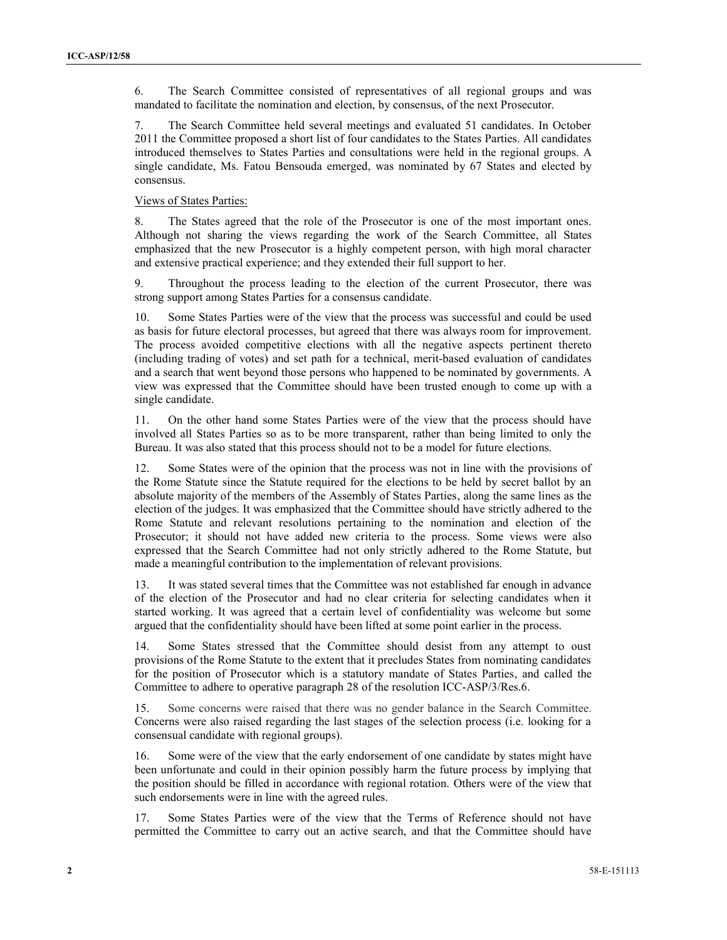6. The Search Committee consisted of representatives of all regional groups and was mandated to facilitate the nomination and election, by consensus, of the next Prosecutor.

7. The Search Committee held several meetings and evaluated 51 candidates. In October 2011 the Committee proposed a short list of four candidates to the States Parties. All candidates introduced themselves to States Parties and consultations were held in the regional groups. A single candidate, Ms. Fatou Bensouda emerged, was nominated by 67 States and elected by consensus.

## Views of States Parties:

8. The States agreed that the role of the Prosecutor is one of the most important ones. Although not sharing the views regarding the work of the Search Committee, all States emphasized that the new Prosecutor is a highly competent person, with high moral character and extensive practical experience; and they extended their full support to her.

9. Throughout the process leading to the election of the current Prosecutor, there was strong support among States Parties for a consensus candidate.

10. Some States Parties were of the view that the process was successful and could be used as basis for future electoral processes, but agreed that there was always room for improvement. The process avoided competitive elections with all the negative aspects pertinent thereto (including trading of votes) and set path for a technical, merit-based evaluation of candidates and a search that went beyond those persons who happened to be nominated by governments. A view was expressed that the Committee should have been trusted enough to come up with a single candidate.

11. On the other hand some States Parties were of the view that the process should have involved all States Parties so as to be more transparent, rather than being limited to only the Bureau. It was also stated that this process should not to be a model for future elections.

12. Some States were of the opinion that the process was not in line with the provisions of the Rome Statute since the Statute required for the elections to be held by secret ballot by an absolute majority of the members of the Assembly of States Parties, along the same lines as the election of the judges. It was emphasized that the Committee should have strictly adhered to the Rome Statute and relevant resolutions pertaining to the nomination and election of the Prosecutor; it should not have added new criteria to the process. Some views were also expressed that the Search Committee had not only strictly adhered to the Rome Statute, but made a meaningful contribution to the implementation of relevant provisions.

13. It was stated several times that the Committee was not established far enough in advance of the election of the Prosecutor and had no clear criteria for selecting candidates when it started working. It was agreed that a certain level of confidentiality was welcome but some argued that the confidentiality should have been lifted at some point earlier in the process.

14. Some States stressed that the Committee should desist from any attempt to oust provisions of the Rome Statute to the extent that it precludes States from nominating candidates for the position of Prosecutor which is a statutory mandate of States Parties, and called the Committee to adhere to operative paragraph 28 of the resolution ICC-ASP/3/Res.6.

15. Some concerns were raised that there was no gender balance in the Search Committee. Concerns were also raised regarding the last stages of the selection process (i.e. looking for a consensual candidate with regional groups).

16. Some were of the view that the early endorsement of one candidate by states might have been unfortunate and could in their opinion possibly harm the future process by implying that the position should be filled in accordance with regional rotation. Others were of the view that such endorsements were in line with the agreed rules.

Some States Parties were of the view that the Terms of Reference should not have permitted the Committee to carry out an active search, and that the Committee should have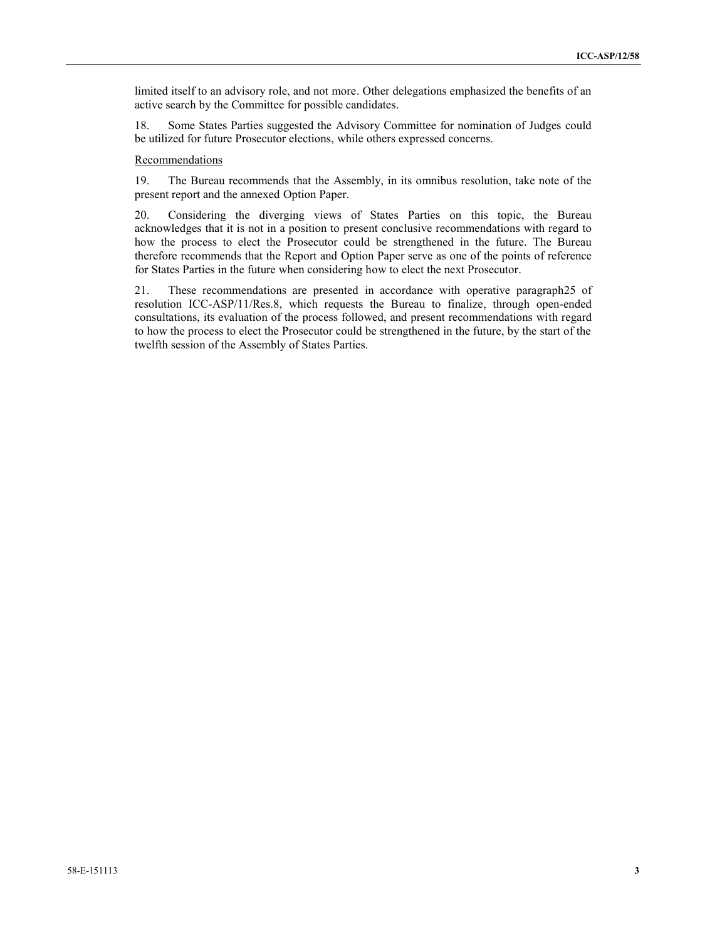limited itself to an advisory role, and not more. Other delegations emphasized the benefits of an active search by the Committee for possible candidates.

18. Some States Parties suggested the Advisory Committee for nomination of Judges could be utilized for future Prosecutor elections, while others expressed concerns.

## Recommendations

19. The Bureau recommends that the Assembly, in its omnibus resolution, take note of the present report and the annexed Option Paper.

20. Considering the diverging views of States Parties on this topic, the Bureau acknowledges that it is not in a position to present conclusive recommendations with regard to how the process to elect the Prosecutor could be strengthened in the future. The Bureau therefore recommends that the Report and Option Paper serve as one of the points of reference for States Parties in the future when considering how to elect the next Prosecutor.

21. These recommendations are presented in accordance with operative paragraph25 of resolution ICC-ASP/11/Res.8, which requests the Bureau to finalize, through open-ended consultations, its evaluation of the process followed, and present recommendations with regard to how the process to elect the Prosecutor could be strengthened in the future, by the start of the twelfth session of the Assembly of States Parties.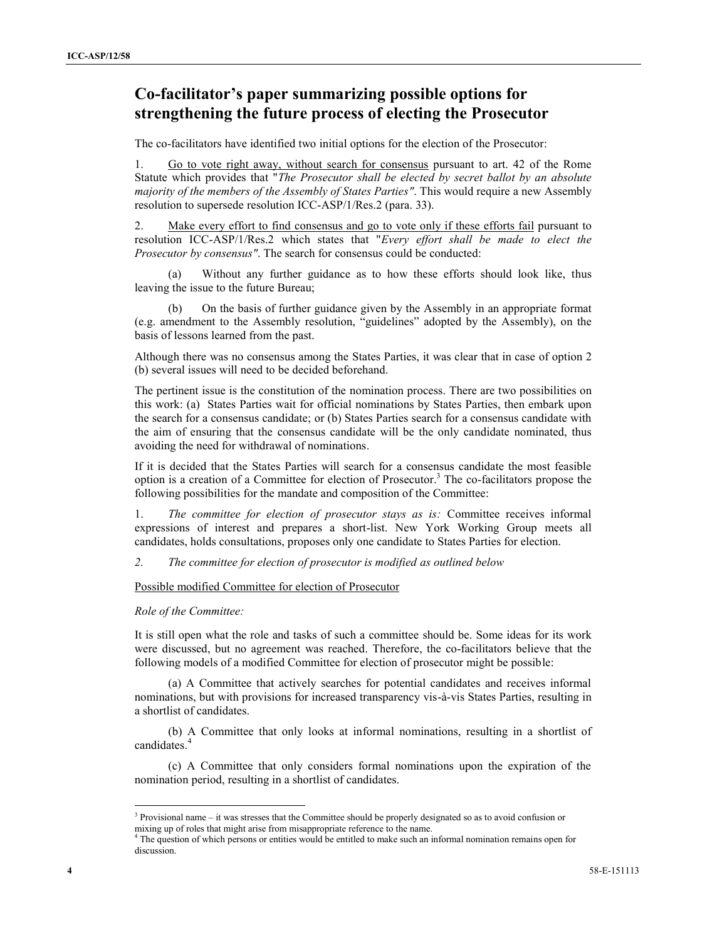## **Co-facilitator's paper summarizing possible options for strengthening the future process of electing the Prosecutor**

The co-facilitators have identified two initial options for the election of the Prosecutor:

1. Go to vote right away, without search for consensus pursuant to art. 42 of the Rome Statute which provides that "*The Prosecutor shall be elected by secret ballot by an absolute majority of the members of the Assembly of States Parties"*. This would require a new Assembly resolution to supersede resolution ICC-ASP/1/Res.2 (para. 33).

2. Make every effort to find consensus and go to vote only if these efforts fail pursuant to resolution ICC-ASP/1/Res.2 which states that "*Every effort shall be made to elect the Prosecutor by consensus"*. The search for consensus could be conducted:

(a) Without any further guidance as to how these efforts should look like, thus leaving the issue to the future Bureau;

(b) On the basis of further guidance given by the Assembly in an appropriate format (e.g. amendment to the Assembly resolution, "guidelines" adopted by the Assembly), on the basis of lessons learned from the past.

Although there was no consensus among the States Parties, it was clear that in case of option 2 (b) several issues will need to be decided beforehand.

The pertinent issue is the constitution of the nomination process. There are two possibilities on this work: (a) States Parties wait for official nominations by States Parties, then embark upon the search for a consensus candidate; or (b) States Parties search for a consensus candidate with the aim of ensuring that the consensus candidate will be the only candidate nominated, thus avoiding the need for withdrawal of nominations.

If it is decided that the States Parties will search for a consensus candidate the most feasible option is a creation of a Committee for election of Prosecutor.<sup>3</sup> The co-facilitators propose the following possibilities for the mandate and composition of the Committee:

1. *The committee for election of prosecutor stays as is:* Committee receives informal expressions of interest and prepares a short-list. New York Working Group meets all candidates, holds consultations, proposes only one candidate to States Parties for election.

*2. The committee for election of prosecutor is modified as outlined below*

Possible modified Committee for election of Prosecutor

*Role of the Committee:*

It is still open what the role and tasks of such a committee should be. Some ideas for its work were discussed, but no agreement was reached. Therefore, the co-facilitators believe that the following models of a modified Committee for election of prosecutor might be possible:

(a) A Committee that actively searches for potential candidates and receives informal nominations, but with provisions for increased transparency vis-à-vis States Parties, resulting in a shortlist of candidates.

(b) A Committee that only looks at informal nominations, resulting in a shortlist of candidates.<sup>4</sup>

(c) A Committee that only considers formal nominations upon the expiration of the nomination period, resulting in a shortlist of candidates.

<sup>3</sup> Provisional name – it was stresses that the Committee should be properly designated so as to avoid confusion or mixing up of roles that might arise from misappropriate reference to the name.

<sup>&</sup>lt;sup>4</sup> The question of which persons or entities would be entitled to make such an informal nomination remains open for discussion.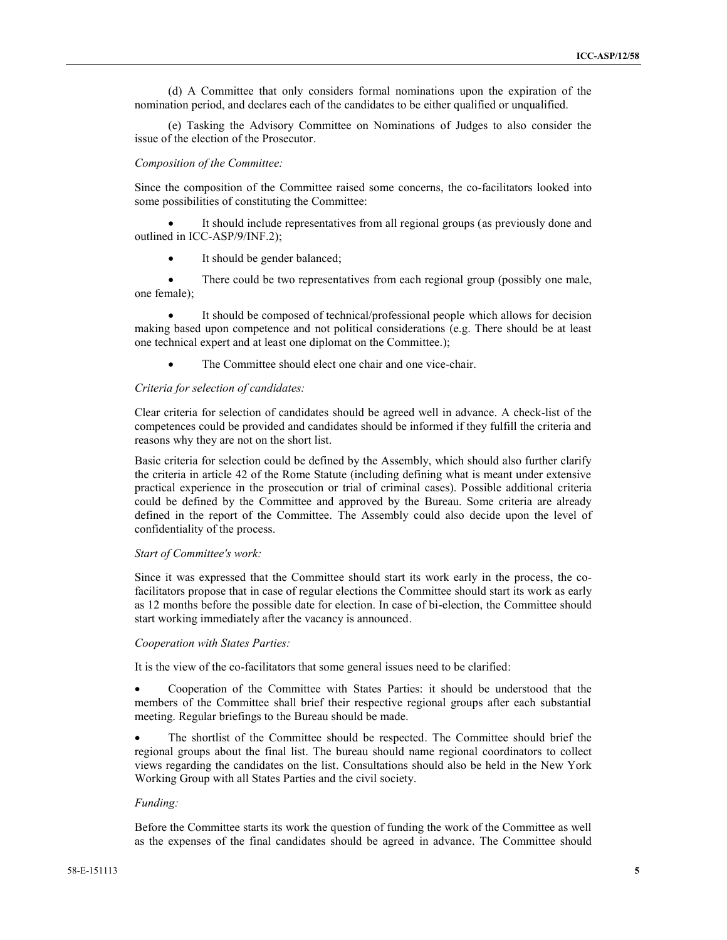(d) A Committee that only considers formal nominations upon the expiration of the nomination period, and declares each of the candidates to be either qualified or unqualified.

(e) Tasking the Advisory Committee on Nominations of Judges to also consider the issue of the election of the Prosecutor.

### *Composition of the Committee:*

Since the composition of the Committee raised some concerns, the co-facilitators looked into some possibilities of constituting the Committee:

 It should include representatives from all regional groups (as previously done and outlined in ICC-ASP/9/INF.2);

• It should be gender balanced;

• There could be two representatives from each regional group (possibly one male, one female);

 It should be composed of technical/professional people which allows for decision making based upon competence and not political considerations (e.g. There should be at least one technical expert and at least one diplomat on the Committee.);

The Committee should elect one chair and one vice-chair.

## *Criteria for selection of candidates:*

Clear criteria for selection of candidates should be agreed well in advance. A check-list of the competences could be provided and candidates should be informed if they fulfill the criteria and reasons why they are not on the short list.

Basic criteria for selection could be defined by the Assembly, which should also further clarify the criteria in article 42 of the Rome Statute (including defining what is meant under extensive practical experience in the prosecution or trial of criminal cases). Possible additional criteria could be defined by the Committee and approved by the Bureau. Some criteria are already defined in the report of the Committee. The Assembly could also decide upon the level of confidentiality of the process.

#### *Start of Committee's work:*

Since it was expressed that the Committee should start its work early in the process, the cofacilitators propose that in case of regular elections the Committee should start its work as early as 12 months before the possible date for election. In case of bi-election, the Committee should start working immediately after the vacancy is announced.

#### *Cooperation with States Parties:*

It is the view of the co-facilitators that some general issues need to be clarified:

 Cooperation of the Committee with States Parties: it should be understood that the members of the Committee shall brief their respective regional groups after each substantial meeting. Regular briefings to the Bureau should be made.

 The shortlist of the Committee should be respected. The Committee should brief the regional groups about the final list. The bureau should name regional coordinators to collect views regarding the candidates on the list. Consultations should also be held in the New York Working Group with all States Parties and the civil society.

#### *Funding:*

Before the Committee starts its work the question of funding the work of the Committee as well as the expenses of the final candidates should be agreed in advance. The Committee should